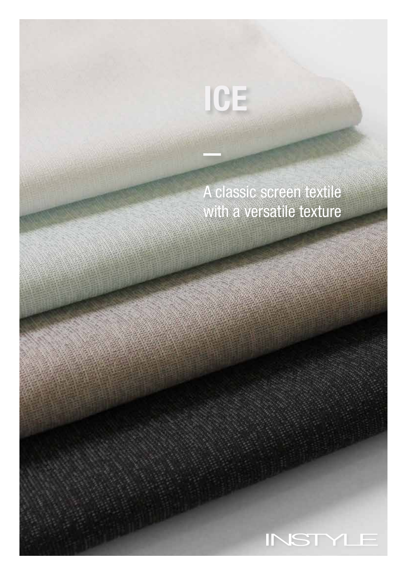## A classic screen textile with a versatile texture

ICE

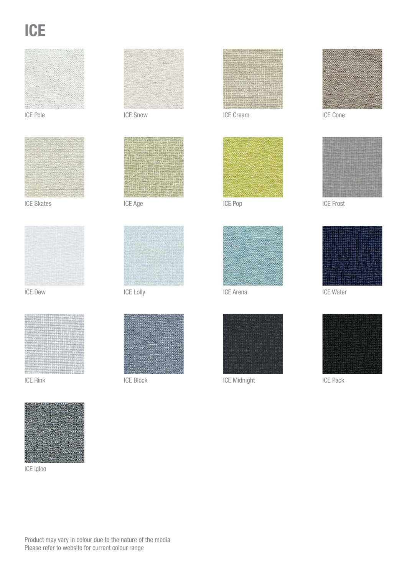# **ICE**





ICE Skates



ICE Dew



ICE Rink



ICE Igloo



ICE Pole ICE Snow



ICE Age



ICE Lolly



ICE Block



ICE Cream



ICE Pop



ICE Arena



ICE Midnight **ICE Pack** 



ICE Cone



ICE Frost



ICE Water